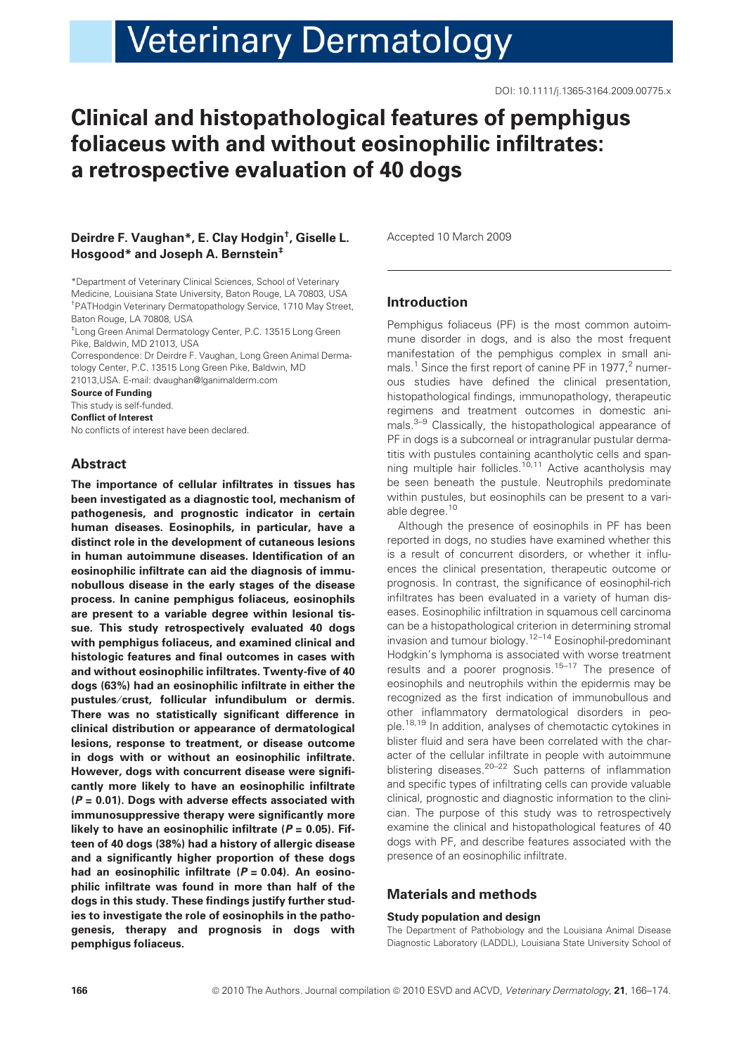# **Veterinary Dermatology**

# Clinical and histopathological features of pemphigus foliaceus with and without eosinophilic infiltrates: a retrospective evaluation of 40 dogs

# Deirdre F. Vaughan\*, E. Clay Hodgin† , Giselle L. Hosgood\* and Joseph A. Bernstein<sup>+</sup>

\*Department of Veterinary Clinical Sciences, School of Veterinary Medicine, Louisiana State University, Baton Rouge, LA 70803, USA † PATHodgin Veterinary Dermatopathology Service, 1710 May Street, Baton Rouge, LA 70808, USA

‡ Long Green Animal Dermatology Center, P.C. 13515 Long Green Pike, Baldwin, MD 21013, USA

Correspondence: Dr Deirdre F. Vaughan, Long Green Animal Dermatology Center, P.C. 13515 Long Green Pike, Baldwin, MD

21013,USA. E-mail: dvaughan@lganimalderm.com

Source of Funding This study is self-funded. Conflict of Interest No conflicts of interest have been declared.

# Abstract

The importance of cellular infiltrates in tissues has been investigated as a diagnostic tool, mechanism of pathogenesis, and prognostic indicator in certain human diseases. Eosinophils, in particular, have a distinct role in the development of cutaneous lesions in human autoimmune diseases. Identification of an eosinophilic infiltrate can aid the diagnosis of immunobullous disease in the early stages of the disease process. In canine pemphigus foliaceus, eosinophils are present to a variable degree within lesional tissue. This study retrospectively evaluated 40 dogs with pemphigus foliaceus, and examined clinical and histologic features and final outcomes in cases with and without eosinophilic infiltrates. Twenty-five of 40 dogs (63%) had an eosinophilic infiltrate in either the pustules ⁄ crust, follicular infundibulum or dermis. There was no statistically significant difference in clinical distribution or appearance of dermatological lesions, response to treatment, or disease outcome in dogs with or without an eosinophilic infiltrate. However, dogs with concurrent disease were significantly more likely to have an eosinophilic infiltrate  $(P = 0.01)$ . Dogs with adverse effects associated with immunosuppressive therapy were significantly more likely to have an eosinophilic infiltrate ( $P = 0.05$ ). Fifteen of 40 dogs (38%) had a history of allergic disease and a significantly higher proportion of these dogs had an eosinophilic infiltrate  $(P = 0.04)$ . An eosinophilic infiltrate was found in more than half of the dogs in this study. These findings justify further studies to investigate the role of eosinophils in the pathogenesis, therapy and prognosis in dogs with pemphigus foliaceus.

Accepted 10 March 2009

# Introduction

Pemphigus foliaceus (PF) is the most common autoimmune disorder in dogs, and is also the most frequent manifestation of the pemphigus complex in small animals.<sup>1</sup> Since the first report of canine PF in 1977, $^2$  numerous studies have defined the clinical presentation, histopathological findings, immunopathology, therapeutic regimens and treatment outcomes in domestic animals.<sup>3–9</sup> Classically, the histopathological appearance of PF in dogs is a subcorneal or intragranular pustular dermatitis with pustules containing acantholytic cells and spanning multiple hair follicles.<sup>10,11</sup> Active acantholysis may be seen beneath the pustule. Neutrophils predominate within pustules, but eosinophils can be present to a variable degree.<sup>10</sup>

Although the presence of eosinophils in PF has been reported in dogs, no studies have examined whether this is a result of concurrent disorders, or whether it influences the clinical presentation, therapeutic outcome or prognosis. In contrast, the significance of eosinophil-rich infiltrates has been evaluated in a variety of human diseases. Eosinophilic infiltration in squamous cell carcinoma can be a histopathological criterion in determining stromal invasion and tumour biology.12–14 Eosinophil-predominant Hodgkin's lymphoma is associated with worse treatment results and a poorer prognosis.15–17 The presence of eosinophils and neutrophils within the epidermis may be recognized as the first indication of immunobullous and other inflammatory dermatological disorders in people.18,19 In addition, analyses of chemotactic cytokines in blister fluid and sera have been correlated with the character of the cellular infiltrate in people with autoimmune blistering diseases.<sup>20–22</sup> Such patterns of inflammation and specific types of infiltrating cells can provide valuable clinical, prognostic and diagnostic information to the clinician. The purpose of this study was to retrospectively examine the clinical and histopathological features of 40 dogs with PF, and describe features associated with the presence of an eosinophilic infiltrate.

# Materials and methods

#### Study population and design

The Department of Pathobiology and the Louisiana Animal Disease Diagnostic Laboratory (LADDL), Louisiana State University School of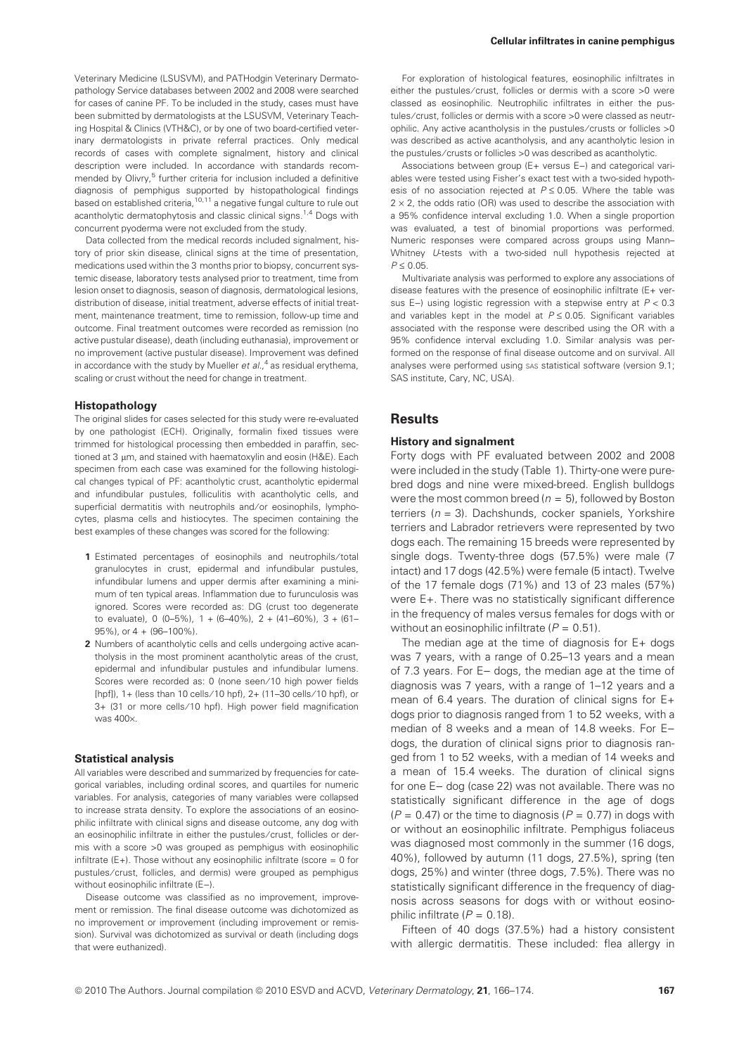Veterinary Medicine (LSUSVM), and PATHodgin Veterinary Dermatopathology Service databases between 2002 and 2008 were searched for cases of canine PF. To be included in the study, cases must have been submitted by dermatologists at the LSUSVM, Veterinary Teaching Hospital & Clinics (VTH&C), or by one of two board-certified veterinary dermatologists in private referral practices. Only medical records of cases with complete signalment, history and clinical description were included. In accordance with standards recommended by Olivry,<sup>5</sup> further criteria for inclusion included a definitive diagnosis of pemphigus supported by histopathological findings based on established criteria,<sup>10,11</sup> a negative fungal culture to rule out acantholytic dermatophytosis and classic clinical signs.<sup>1,4</sup> Dogs with concurrent pyoderma were not excluded from the study.

Data collected from the medical records included signalment, history of prior skin disease, clinical signs at the time of presentation, medications used within the 3 months prior to biopsy, concurrent systemic disease, laboratory tests analysed prior to treatment, time from lesion onset to diagnosis, season of diagnosis, dermatological lesions, distribution of disease, initial treatment, adverse effects of initial treatment, maintenance treatment, time to remission, follow-up time and outcome. Final treatment outcomes were recorded as remission (no active pustular disease), death (including euthanasia), improvement or no improvement (active pustular disease). Improvement was defined in accordance with the study by Mueller et  $al.^4$  as residual erythema, scaling or crust without the need for change in treatment.

#### Histopathology

The original slides for cases selected for this study were re-evaluated by one pathologist (ECH). Originally, formalin fixed tissues were trimmed for histological processing then embedded in paraffin, sectioned at 3 µm, and stained with haematoxylin and eosin (H&E). Each specimen from each case was examined for the following histological changes typical of PF: acantholytic crust, acantholytic epidermal and infundibular pustules, folliculitis with acantholytic cells, and superficial dermatitis with neutrophils and/or eosinophils, lymphocytes, plasma cells and histiocytes. The specimen containing the best examples of these changes was scored for the following:

- 1 Estimated percentages of eosinophils and neutrophils/total granulocytes in crust, epidermal and infundibular pustules, infundibular lumens and upper dermis after examining a minimum of ten typical areas. Inflammation due to furunculosis was ignored. Scores were recorded as: DG (crust too degenerate to evaluate), 0 (0-5%),  $1 + (6 - 40\%)$ ,  $2 + (41 - 60\%)$ ,  $3 + (61 -$ 95%), or 4 + (96–100%).
- 2 Numbers of acantholytic cells and cells undergoing active acantholysis in the most prominent acantholytic areas of the crust, epidermal and infundibular pustules and infundibular lumens. Scores were recorded as: 0 (none seen/10 high power fields [hpf]), 1+ (less than 10 cells ⁄ 10 hpf), 2+ (11–30 cells ⁄ 10 hpf), or 3+ (31 or more cells/10 hpf). High power field magnification was 400x

#### Statistical analysis

All variables were described and summarized by frequencies for categorical variables, including ordinal scores, and quartiles for numeric variables. For analysis, categories of many variables were collapsed to increase strata density. To explore the associations of an eosinophilic infiltrate with clinical signs and disease outcome, any dog with an eosinophilic infiltrate in either the pustules/crust, follicles or dermis with a score >0 was grouped as pemphigus with eosinophilic infiltrate  $(E+)$ . Those without any eosinophilic infiltrate (score = 0 for pustules/crust, follicles, and dermis) were grouped as pemphigus without eosinophilic infiltrate (E-).

Disease outcome was classified as no improvement, improvement or remission. The final disease outcome was dichotomized as no improvement or improvement (including improvement or remission). Survival was dichotomized as survival or death (including dogs that were euthanized).

For exploration of histological features, eosinophilic infiltrates in either the pustules/crust, follicles or dermis with a score >0 were classed as eosinophilic. Neutrophilic infiltrates in either the pustules/crust, follicles or dermis with a score >0 were classed as neutrophilic. Any active acantholysis in the pustules/crusts or follicles >0 was described as active acantholysis, and any acantholytic lesion in the pustules/crusts or follicles >0 was described as acantholytic.

Associations between group ( $E+$  versus  $E-$ ) and categorical variables were tested using Fisher's exact test with a two-sided hypothesis of no association rejected at  $P \le 0.05$ . Where the table was  $2 \times 2$ , the odds ratio (OR) was used to describe the association with a 95% confidence interval excluding 1.0. When a single proportion was evaluated, a test of binomial proportions was performed. Numeric responses were compared across groups using Mann– Whitney U-tests with a two-sided null hypothesis rejected at  $P \le 0.05$ .

Multivariate analysis was performed to explore any associations of disease features with the presence of eosinophilic infiltrate (E+ versus E–) using logistic regression with a stepwise entry at  $P < 0.3$ and variables kept in the model at  $P \le 0.05$ . Significant variables associated with the response were described using the OR with a 95% confidence interval excluding 1.0. Similar analysis was performed on the response of final disease outcome and on survival. All analyses were performed using sas statistical software (version 9.1; SAS institute, Cary, NC, USA).

# **Results**

#### History and signalment

Forty dogs with PF evaluated between 2002 and 2008 were included in the study (Table 1). Thirty-one were purebred dogs and nine were mixed-breed. English bulldogs were the most common breed ( $n = 5$ ), followed by Boston terriers ( $n = 3$ ). Dachshunds, cocker spaniels, Yorkshire terriers and Labrador retrievers were represented by two dogs each. The remaining 15 breeds were represented by single dogs. Twenty-three dogs (57.5%) were male (7 intact) and 17 dogs (42.5%) were female (5 intact). Twelve of the 17 female dogs (71%) and 13 of 23 males (57%) were E+. There was no statistically significant difference in the frequency of males versus females for dogs with or without an eosinophilic infiltrate  $(P = 0.51)$ .

The median age at the time of diagnosis for E+ dogs was 7 years, with a range of 0.25–13 years and a mean of 7.3 years. For  $E-$  dogs, the median age at the time of diagnosis was 7 years, with a range of 1–12 years and a mean of 6.4 years. The duration of clinical signs for  $E_{+}$ dogs prior to diagnosis ranged from 1 to 52 weeks, with a median of 8 weeks and a mean of 14.8 weeks. For Edogs, the duration of clinical signs prior to diagnosis ranged from 1 to 52 weeks, with a median of 14 weeks and a mean of 15.4 weeks. The duration of clinical signs for one E- dog (case 22) was not available. There was no statistically significant difference in the age of dogs  $(P = 0.47)$  or the time to diagnosis  $(P = 0.77)$  in dogs with or without an eosinophilic infiltrate. Pemphigus foliaceus was diagnosed most commonly in the summer (16 dogs, 40%), followed by autumn (11 dogs, 27.5%), spring (ten dogs, 25%) and winter (three dogs, 7.5%). There was no statistically significant difference in the frequency of diagnosis across seasons for dogs with or without eosinophilic infiltrate  $(P = 0.18)$ .

Fifteen of 40 dogs (37.5%) had a history consistent with allergic dermatitis. These included: flea allergy in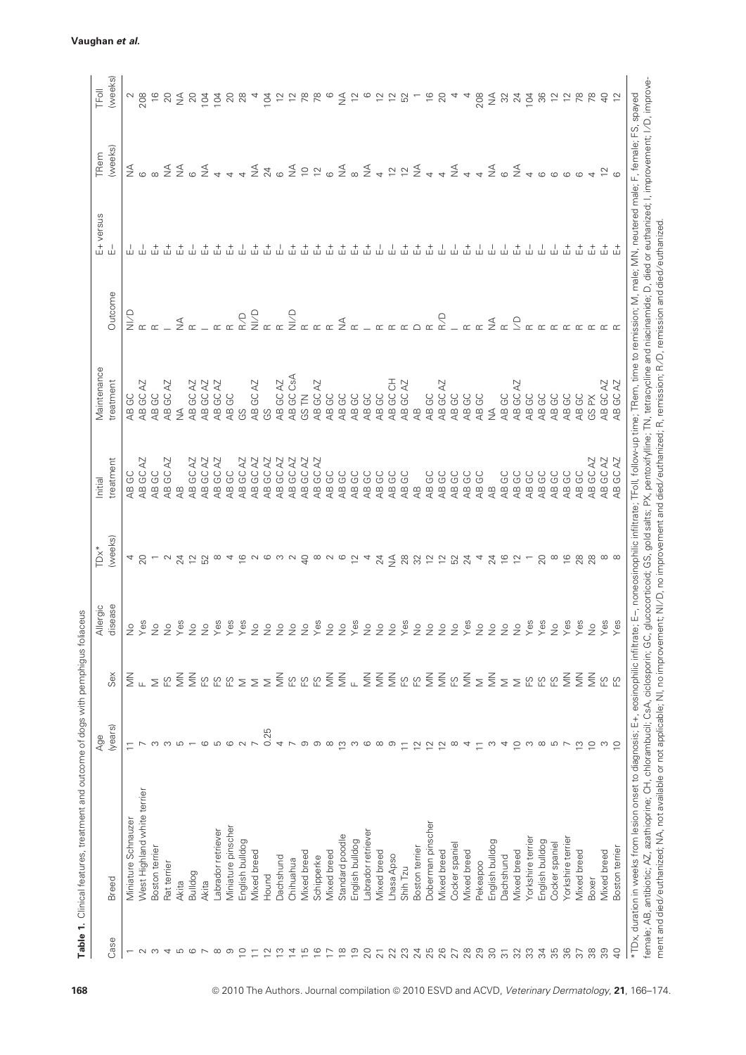|                          |                             | Age                      |                                       | Allergic           | $TDx^*$                  | Initial               | Maintenance              |               | E+ versus | TRem                                | TFoll                                                    |
|--------------------------|-----------------------------|--------------------------|---------------------------------------|--------------------|--------------------------|-----------------------|--------------------------|---------------|-----------|-------------------------------------|----------------------------------------------------------|
| Case                     | <b>Breed</b>                | (years)                  | Sex                                   | disease            | (weeks)                  | treatment             | treatment                | Outcome       |           | (weeks)                             | (weeks)                                                  |
| $\overline{\phantom{0}}$ | Miniature Schnauzer         | $\Xi$                    |                                       | $\frac{1}{2}$      |                          | GC<br>$\overline{AB}$ | GC<br>$\overline{AB}$    | $\frac{1}{2}$ |           |                                     |                                                          |
|                          | West Highland white terrier |                          | $\frac{Z}{2}$ $\mu$                   | δe                 | 20                       | AB GC AZ              | AB GC AZ                 |               |           | ≨ ∞                                 | 208                                                      |
| $\sim$ $\sim$            | Boston terrier              | S                        | $\bar{\ge}$                           | $\overline{\circ}$ |                          | AB GC                 | AB GC                    |               |           |                                     | $\frac{6}{2}$                                            |
|                          | Rat terrier                 | ന                        | $\overline{E}$                        | $\overline{\circ}$ |                          | AB GC AZ              | AB GC AZ                 |               |           |                                     |                                                          |
| 4567                     | Akita                       | ഥ                        | $\leq$                                | δə                 | 24                       | $\overline{4}$        | ≸                        | $\leq$        |           | $rac{4}{2}$ $rac{4}{2}$ $rac{6}{2}$ | $\lessgtr$                                               |
|                          | Bulldog                     |                          | $\frac{2}{2}$                         | $\overline{a}$     | $\Xi$                    | AB GC AZ              | AB GC AZ                 |               |           |                                     | 20                                                       |
|                          | Akita                       | G                        | $\overline{E}$                        | $\overline{\circ}$ | 52                       | AB GC AZ              | AB GC AZ                 |               |           | ₹                                   | 104                                                      |
| $\infty$                 | Labrador retriever          | S                        | $\Xi$                                 | စိ                 | $\infty$                 | AB GC AZ              | AB GC AZ                 |               |           |                                     | 104                                                      |
| ာ                        | Miniature pinscher          |                          | $\mathbb{E} \mathbb{S}$               | 8                  |                          | AB GC                 | AB GC                    |               |           |                                     | 20                                                       |
| $\circ$                  | English bulldog             | $\circ$ $\circ$          | $\geq$                                | es                 |                          | AB GC AZ              | ပ္ပ                      | $\frac{1}{2}$ |           |                                     |                                                          |
| $\square$                | Mixed breed                 |                          | $\geq$                                | $\overline{\circ}$ |                          | AB GC AZ              | AB GC AZ                 | Q/IN          |           | ₹                                   |                                                          |
| $\overline{2}$           | Hound                       | 0.25                     | $\geq$                                | $\frac{1}{2}$      |                          | AB GC AZ              | ပ္ပ                      |               |           | 24                                  | 104                                                      |
| $\tilde{c}$              | Dachshund                   | 4                        | $\leq$                                | $\overline{\circ}$ |                          | AB GC AZ              | AB GC AZ                 |               |           |                                     |                                                          |
| $\overline{4}$           | Chihuahua                   | $\overline{ }$           | E S S S                               | $\overline{\circ}$ |                          | AB GC AZ              | AB GC CsA                | a<br>NB       |           | $\frac{4}{2}$                       |                                                          |
| $\frac{5}{2}$            | Mixed breed                 | တ                        |                                       | $\circ$            | $\overline{Q}$           | AB GC AZ              | GS TN                    |               |           | $\overline{C}$                      |                                                          |
| $\frac{6}{5}$            | Schipperke                  | ത                        |                                       | es                 | $\infty$                 | AB GC AZ              | AB GC AZ                 |               |           | $\approx$                           | 78                                                       |
| $\overline{1}$           | Mixed breed                 | $\infty$                 | $\leq$                                | $\overline{a}$     |                          | AB GC                 | AB GC                    |               | 孟         | $\circ$                             | $\circ$                                                  |
| $\frac{8}{10}$           | Standard poodle             | S                        | $\leqq$                               | $\frac{1}{2}$      | $\circ$                  | AB GC                 | AB GC                    | $\frac{1}{2}$ |           | $\lessgtr$                          | ₹                                                        |
| $\overline{9}$           | English bulldog             | S                        | $_{\scriptscriptstyle \rm L}$ $\geqq$ | es)                | $\overline{c}$           | AB GC                 | AB GC                    |               |           |                                     | $\tilde{c}$                                              |
| 20                       | abrador retriever           | G                        |                                       | $\overline{\circ}$ | $\overline{\mathcal{A}}$ | AB GC                 | AB GC                    |               | $\vec{u}$ | $\lessgtr$                          | $\circ$                                                  |
| $\overline{2}1$          | Mixed breed                 | $\infty$                 | $\lessgtr$                            | $\frac{1}{2}$      | 24                       | AB GC                 | AB GC                    |               |           | $\rightarrow$                       | $\ensuremath{\mathop{\mathop{\triangleright}}\nolimits}$ |
| 22                       | Lhasa Apso                  | တ                        | $\leq$                                | $\overline{a}$     | $\lessgtr$ 88            | AB GC                 | AB GC CH                 |               |           | $\frac{1}{2}$                       | $\widetilde{\phantom{a}}$                                |
| 23                       | Shih Tzu                    | $\equiv$                 | E S<br>E<br>E                         | es                 |                          | AB GC                 | AB GC AZ                 |               | 。<br>山    |                                     | 52                                                       |
| 24<br>25                 | Boston terrier              | $\overline{2}$           |                                       | $\frac{1}{2}$      | 32                       | $\overline{AB}$       | $\overline{4}$           | $\bigcirc$    | 击         | $\lessgtr$                          |                                                          |
|                          | Doberman pinscher           | $\tilde{c}$              | $\leq$                                | $\frac{1}{2}$      | $\overline{12}$          | AB GC                 | AB GC                    | $\simeq$      | 숩         |                                     | $\frac{6}{2}$                                            |
| 26                       | Mixed breed                 | $\overline{2}$           | $\leqq$                               | $\overline{a}$     | $\approx$                | AB GC                 | AB GC AZ                 | R/D           |           | $\rightarrow$ $\frac{4}{5}$         | 20                                                       |
|                          | Cocker spaniel              | $\infty$                 | $\overline{E}$                        | $\frac{0}{2}$      | 52                       | AB GC                 | AB GC                    |               |           |                                     |                                                          |
| 2780                     | <b>Mixed</b> breed          | 4                        | $\widetilde{\leq}$                    | δ°,                | 24                       | AB GC                 | AB GC                    |               | 击         |                                     |                                                          |
|                          | Pekeapoo                    | $\overline{\phantom{0}}$ | $\overline{\ge}$                      | $\overline{a}$     | 4                        | AB GC                 | AB GC                    |               | Ш         |                                     | 208                                                      |
| 80                       | English bulldog             | S                        | $\leq$                                | $\frac{1}{2}$      | 24                       | $\overline{4}$        | $\frac{1}{2}$            | $\frac{4}{2}$ |           | $\frac{4}{2}$                       | $\widetilde{\geq}$                                       |
| $\overline{5}$           | Dachshund                   | 4                        | $\geq$                                | $\overline{Q}$     | $\frac{6}{1}$            | AB GC                 | AB GC                    |               |           | $\circ$                             | 32                                                       |
| 32                       | Mixed breed                 | $\overline{C}$           | $\Sigma$ $\Omega$ $\Omega$ $\Omega$   | $\overline{\circ}$ | 12                       | AB GC                 | AB GC AZ                 |               | $\vec{u}$ | $\frac{4}{2}$                       | 24                                                       |
| 33                       | Yorkshire terrier           | S                        |                                       | δ9,                |                          | AB GC                 | AB GC                    |               |           |                                     | 104                                                      |
| $\mathfrak{L}$           | English bulldog             | $\infty$                 |                                       | es.                | 20                       | AB GC                 | AB GC                    |               |           |                                     | 36                                                       |
| 35                       | Cocker spaniel              | 5 <sub>2</sub>           |                                       | $\frac{1}{2}$      | $\infty$                 | AB GC                 | AB GC                    |               |           |                                     | 12                                                       |
| 36                       | Yorkshire terrier           |                          | $\leq$                                | es                 | $\frac{6}{2}$            | AB GC                 | AB GC                    |               | 숩         |                                     | $\overline{c}$                                           |
| $\overline{3}$           | <b>Mixed</b> breed          | $\frac{1}{2}$            | $\leqq$                               | es                 | $28$                     | AB GC                 | AB GC                    |               | 숩         |                                     | 78                                                       |
| 88                       | Boxer                       | $\overline{C}$           | $\frac{2}{2}$                         | $\frac{1}{2}$      | 28                       | AB GC AZ              | GS PX                    |               | 숩         |                                     |                                                          |
| 39                       | Mixed breed                 | က                        | CO CO                                 | es)                | $\infty$                 | AB GC AZ              | AB GC AZ                 |               |           |                                     |                                                          |
| $\overline{Q}$           | Boston terrier              | $\overline{C}$           |                                       | es                 |                          | AB GC AZ              | GC AZ<br>$\overline{AB}$ |               |           |                                     |                                                          |

# Vaughan et al.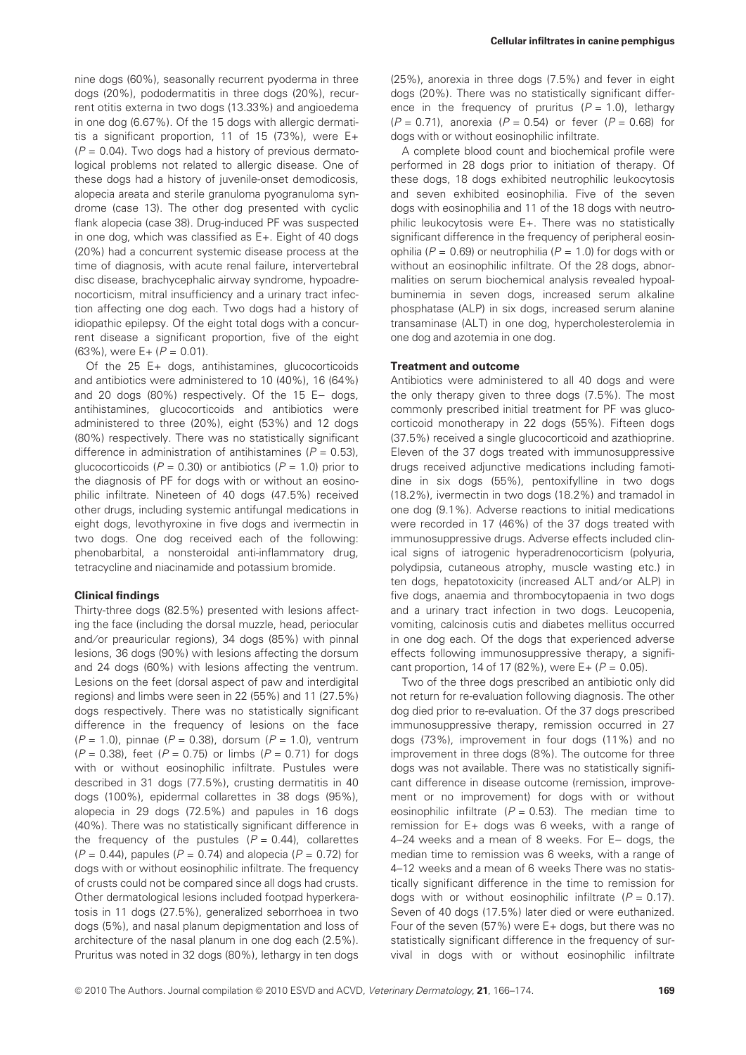nine dogs (60%), seasonally recurrent pyoderma in three dogs (20%), pododermatitis in three dogs (20%), recurrent otitis externa in two dogs (13.33%) and angioedema in one dog (6.67%). Of the 15 dogs with allergic dermatitis a significant proportion, 11 of 15 (73%), were  $E+$  $(P = 0.04)$ . Two dogs had a history of previous dermatological problems not related to allergic disease. One of these dogs had a history of juvenile-onset demodicosis, alopecia areata and sterile granuloma pyogranuloma syndrome (case 13). The other dog presented with cyclic flank alopecia (case 38). Drug-induced PF was suspected in one dog, which was classified as E+. Eight of 40 dogs (20%) had a concurrent systemic disease process at the time of diagnosis, with acute renal failure, intervertebral disc disease, brachycephalic airway syndrome, hypoadrenocorticism, mitral insufficiency and a urinary tract infection affecting one dog each. Two dogs had a history of idiopathic epilepsy. Of the eight total dogs with a concurrent disease a significant proportion, five of the eight  $(63\%)$ , were E +  $(P = 0.01)$ .

Of the 25 E+ dogs, antihistamines, glucocorticoids and antibiotics were administered to 10 (40%), 16 (64%) and 20 dogs  $(80\%)$  respectively. Of the 15 E- dogs, antihistamines, glucocorticoids and antibiotics were administered to three (20%), eight (53%) and 12 dogs (80%) respectively. There was no statistically significant difference in administration of antihistamines ( $P = 0.53$ ), glucocorticoids ( $P = 0.30$ ) or antibiotics ( $P = 1.0$ ) prior to the diagnosis of PF for dogs with or without an eosinophilic infiltrate. Nineteen of 40 dogs (47.5%) received other drugs, including systemic antifungal medications in eight dogs, levothyroxine in five dogs and ivermectin in two dogs. One dog received each of the following: phenobarbital, a nonsteroidal anti-inflammatory drug, tetracycline and niacinamide and potassium bromide.

#### Clinical findings

Thirty-three dogs (82.5%) presented with lesions affecting the face (including the dorsal muzzle, head, periocular and/or preauricular regions), 34 dogs (85%) with pinnal lesions, 36 dogs (90%) with lesions affecting the dorsum and 24 dogs (60%) with lesions affecting the ventrum. Lesions on the feet (dorsal aspect of paw and interdigital regions) and limbs were seen in 22 (55%) and 11 (27.5%) dogs respectively. There was no statistically significant difference in the frequency of lesions on the face  $(P = 1.0)$ , pinnae  $(P = 0.38)$ , dorsum  $(P = 1.0)$ , ventrum  $(P = 0.38)$ , feet  $(P = 0.75)$  or limbs  $(P = 0.71)$  for dogs with or without eosinophilic infiltrate. Pustules were described in 31 dogs (77.5%), crusting dermatitis in 40 dogs (100%), epidermal collarettes in 38 dogs (95%), alopecia in 29 dogs (72.5%) and papules in 16 dogs (40%). There was no statistically significant difference in the frequency of the pustules  $(P = 0.44)$ , collarettes  $(P = 0.44)$ , papules  $(P = 0.74)$  and alopecia  $(P = 0.72)$  for dogs with or without eosinophilic infiltrate. The frequency of crusts could not be compared since all dogs had crusts. Other dermatological lesions included footpad hyperkeratosis in 11 dogs (27.5%), generalized seborrhoea in two dogs (5%), and nasal planum depigmentation and loss of architecture of the nasal planum in one dog each (2.5%). Pruritus was noted in 32 dogs (80%), lethargy in ten dogs (25%), anorexia in three dogs (7.5%) and fever in eight dogs (20%). There was no statistically significant difference in the frequency of pruritus  $(P = 1.0)$ , lethargy  $(P = 0.71)$ , anorexia  $(P = 0.54)$  or fever  $(P = 0.68)$  for dogs with or without eosinophilic infiltrate.

A complete blood count and biochemical profile were performed in 28 dogs prior to initiation of therapy. Of these dogs, 18 dogs exhibited neutrophilic leukocytosis and seven exhibited eosinophilia. Five of the seven dogs with eosinophilia and 11 of the 18 dogs with neutrophilic leukocytosis were E+. There was no statistically significant difference in the frequency of peripheral eosinophilia ( $P = 0.69$ ) or neutrophilia ( $P = 1.0$ ) for dogs with or without an eosinophilic infiltrate. Of the 28 dogs, abnormalities on serum biochemical analysis revealed hypoalbuminemia in seven dogs, increased serum alkaline phosphatase (ALP) in six dogs, increased serum alanine transaminase (ALT) in one dog, hypercholesterolemia in one dog and azotemia in one dog.

#### Treatment and outcome

Antibiotics were administered to all 40 dogs and were the only therapy given to three dogs (7.5%). The most commonly prescribed initial treatment for PF was glucocorticoid monotherapy in 22 dogs (55%). Fifteen dogs (37.5%) received a single glucocorticoid and azathioprine. Eleven of the 37 dogs treated with immunosuppressive drugs received adjunctive medications including famotidine in six dogs (55%), pentoxifylline in two dogs (18.2%), ivermectin in two dogs (18.2%) and tramadol in one dog (9.1%). Adverse reactions to initial medications were recorded in 17 (46%) of the 37 dogs treated with immunosuppressive drugs. Adverse effects included clinical signs of iatrogenic hyperadrenocorticism (polyuria, polydipsia, cutaneous atrophy, muscle wasting etc.) in ten dogs, hepatotoxicity (increased ALT and/or ALP) in five dogs, anaemia and thrombocytopaenia in two dogs and a urinary tract infection in two dogs. Leucopenia, vomiting, calcinosis cutis and diabetes mellitus occurred in one dog each. Of the dogs that experienced adverse effects following immunosuppressive therapy, a significant proportion, 14 of 17 (82%), were  $E + (P = 0.05)$ .

Two of the three dogs prescribed an antibiotic only did not return for re-evaluation following diagnosis. The other dog died prior to re-evaluation. Of the 37 dogs prescribed immunosuppressive therapy, remission occurred in 27 dogs (73%), improvement in four dogs (11%) and no improvement in three dogs (8%). The outcome for three dogs was not available. There was no statistically significant difference in disease outcome (remission, improvement or no improvement) for dogs with or without eosinophilic infiltrate ( $P = 0.53$ ). The median time to remission for E+ dogs was 6 weeks, with a range of 4–24 weeks and a mean of 8 weeks. For  $E-$  dogs, the median time to remission was 6 weeks, with a range of 4–12 weeks and a mean of 6 weeks There was no statistically significant difference in the time to remission for dogs with or without eosinophilic infiltrate  $(P = 0.17)$ . Seven of 40 dogs (17.5%) later died or were euthanized. Four of the seven (57%) were E+ dogs, but there was no statistically significant difference in the frequency of survival in dogs with or without eosinophilic infiltrate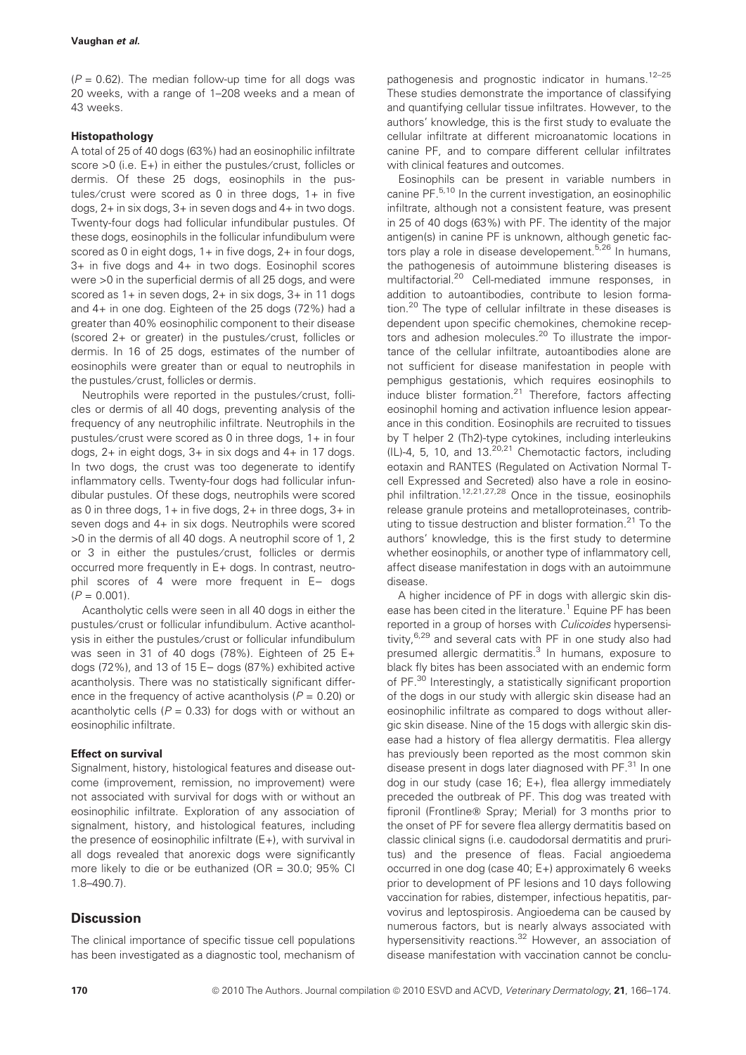#### Vaughan et al.

 $(P = 0.62)$ . The median follow-up time for all dogs was 20 weeks, with a range of 1–208 weeks and a mean of 43 weeks.

### Histopathology

A total of 25 of 40 dogs (63%) had an eosinophilic infiltrate score >0 (i.e. E+) in either the pustules/crust, follicles or dermis. Of these 25 dogs, eosinophils in the pustules/crust were scored as 0 in three dogs,  $1+$  in five dogs, 2+ in six dogs, 3+ in seven dogs and 4+ in two dogs. Twenty-four dogs had follicular infundibular pustules. Of these dogs, eosinophils in the follicular infundibulum were scored as 0 in eight dogs, 1+ in five dogs, 2+ in four dogs, 3+ in five dogs and 4+ in two dogs. Eosinophil scores were >0 in the superficial dermis of all 25 dogs, and were scored as 1+ in seven dogs, 2+ in six dogs, 3+ in 11 dogs and 4+ in one dog. Eighteen of the 25 dogs (72%) had a greater than 40% eosinophilic component to their disease (scored 2+ or greater) in the pustules/crust, follicles or dermis. In 16 of 25 dogs, estimates of the number of eosinophils were greater than or equal to neutrophils in the pustules/crust, follicles or dermis.

Neutrophils were reported in the pustules/crust, follicles or dermis of all 40 dogs, preventing analysis of the frequency of any neutrophilic infiltrate. Neutrophils in the pustules/crust were scored as 0 in three dogs, 1+ in four dogs, 2+ in eight dogs, 3+ in six dogs and 4+ in 17 dogs. In two dogs, the crust was too degenerate to identify inflammatory cells. Twenty-four dogs had follicular infundibular pustules. Of these dogs, neutrophils were scored as 0 in three dogs,  $1+$  in five dogs,  $2+$  in three dogs,  $3+$  in seven dogs and 4+ in six dogs. Neutrophils were scored >0 in the dermis of all 40 dogs. A neutrophil score of 1, 2 or 3 in either the pustules/crust, follicles or dermis occurred more frequently in E+ dogs. In contrast, neutrophil scores of 4 were more frequent in  $E-$  dogs  $(P = 0.001)$ .

Acantholytic cells were seen in all 40 dogs in either the pustules/crust or follicular infundibulum. Active acantholysis in either the pustules ⁄ crust or follicular infundibulum was seen in 31 of 40 dogs (78%). Eighteen of 25 E+ dogs  $(72%)$ , and 13 of 15 E  $-$  dogs  $(87%)$  exhibited active acantholysis. There was no statistically significant difference in the frequency of active acantholysis ( $P = 0.20$ ) or acantholytic cells ( $P = 0.33$ ) for dogs with or without an eosinophilic infiltrate.

#### Effect on survival

Signalment, history, histological features and disease outcome (improvement, remission, no improvement) were not associated with survival for dogs with or without an eosinophilic infiltrate. Exploration of any association of signalment, history, and histological features, including the presence of eosinophilic infiltrate (E+), with survival in all dogs revealed that anorexic dogs were significantly more likely to die or be euthanized (OR = 30.0; 95% CI 1.8–490.7).

# **Discussion**

The clinical importance of specific tissue cell populations has been investigated as a diagnostic tool, mechanism of pathogenesis and prognostic indicator in humans.12–25 These studies demonstrate the importance of classifying and quantifying cellular tissue infiltrates. However, to the authors' knowledge, this is the first study to evaluate the cellular infiltrate at different microanatomic locations in canine PF, and to compare different cellular infiltrates with clinical features and outcomes.

Eosinophils can be present in variable numbers in canine PF.<sup>5,10</sup> In the current investigation, an eosinophilic infiltrate, although not a consistent feature, was present in 25 of 40 dogs (63%) with PF. The identity of the major antigen(s) in canine PF is unknown, although genetic factors play a role in disease developement.<sup>5,26</sup> In humans, the pathogenesis of autoimmune blistering diseases is multifactorial.<sup>20</sup> Cell-mediated immune responses, in addition to autoantibodies, contribute to lesion formation.<sup>20</sup> The type of cellular infiltrate in these diseases is dependent upon specific chemokines, chemokine receptors and adhesion molecules.<sup>20</sup> To illustrate the importance of the cellular infiltrate, autoantibodies alone are not sufficient for disease manifestation in people with pemphigus gestationis, which requires eosinophils to induce blister formation.<sup>21</sup> Therefore, factors affecting eosinophil homing and activation influence lesion appearance in this condition. Eosinophils are recruited to tissues by T helper 2 (Th2)-type cytokines, including interleukins (IL)-4, 5, 10, and 13.20,21 Chemotactic factors, including eotaxin and RANTES (Regulated on Activation Normal Tcell Expressed and Secreted) also have a role in eosinophil infiltration.12,21,27,28 Once in the tissue, eosinophils release granule proteins and metalloproteinases, contributing to tissue destruction and blister formation.<sup>21</sup> To the authors' knowledge, this is the first study to determine whether eosinophils, or another type of inflammatory cell, affect disease manifestation in dogs with an autoimmune disease.

A higher incidence of PF in dogs with allergic skin disease has been cited in the literature.<sup>1</sup> Equine PF has been reported in a group of horses with Culicoides hypersensitivity, <sup>6,29</sup> and several cats with PF in one study also had presumed allergic dermatitis.<sup>3</sup> In humans, exposure to black fly bites has been associated with an endemic form of PF.<sup>30</sup> Interestingly, a statistically significant proportion of the dogs in our study with allergic skin disease had an eosinophilic infiltrate as compared to dogs without allergic skin disease. Nine of the 15 dogs with allergic skin disease had a history of flea allergy dermatitis. Flea allergy has previously been reported as the most common skin disease present in dogs later diagnosed with PF.<sup>31</sup> In one dog in our study (case 16; E+), flea allergy immediately preceded the outbreak of PF. This dog was treated with fipronil (Frontline® Spray; Merial) for 3 months prior to the onset of PF for severe flea allergy dermatitis based on classic clinical signs (i.e. caudodorsal dermatitis and pruritus) and the presence of fleas. Facial angioedema occurred in one dog (case 40; E+) approximately 6 weeks prior to development of PF lesions and 10 days following vaccination for rabies, distemper, infectious hepatitis, parvovirus and leptospirosis. Angioedema can be caused by numerous factors, but is nearly always associated with hypersensitivity reactions.<sup>32</sup> However, an association of disease manifestation with vaccination cannot be conclu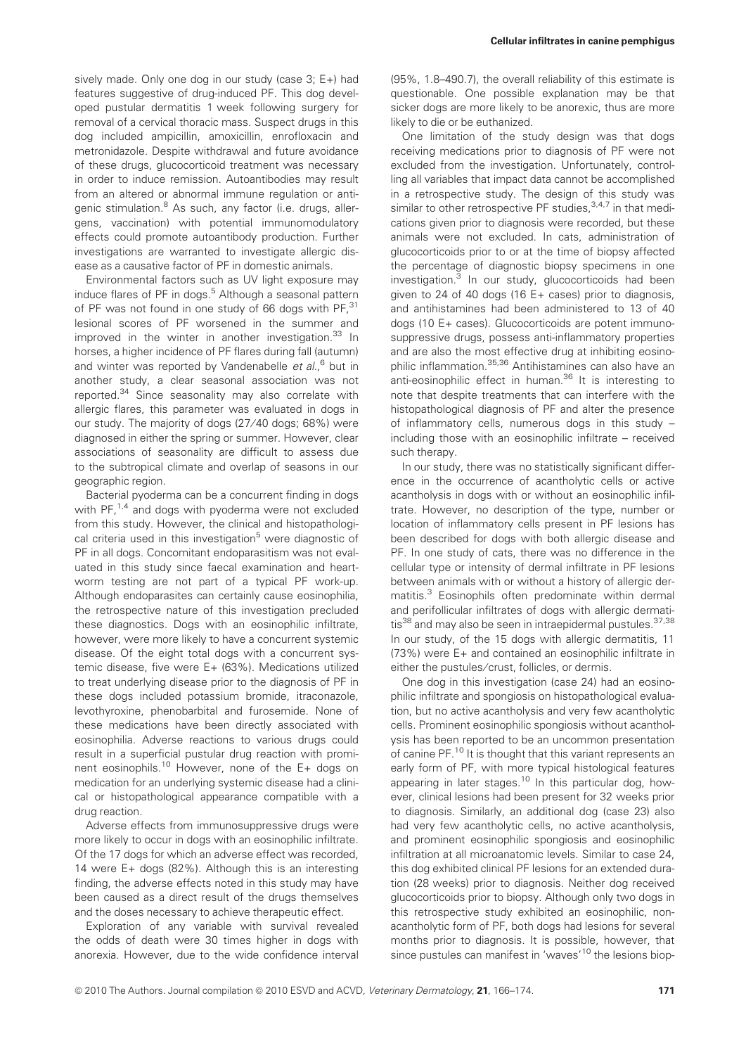sively made. Only one dog in our study (case 3; E+) had features suggestive of drug-induced PF. This dog developed pustular dermatitis 1 week following surgery for removal of a cervical thoracic mass. Suspect drugs in this dog included ampicillin, amoxicillin, enrofloxacin and metronidazole. Despite withdrawal and future avoidance of these drugs, glucocorticoid treatment was necessary in order to induce remission. Autoantibodies may result from an altered or abnormal immune regulation or antigenic stimulation.<sup>8</sup> As such, any factor (i.e. drugs, allergens, vaccination) with potential immunomodulatory effects could promote autoantibody production. Further investigations are warranted to investigate allergic disease as a causative factor of PF in domestic animals.

Environmental factors such as UV light exposure may induce flares of PF in dogs.<sup>5</sup> Although a seasonal pattern of PF was not found in one study of 66 dogs with PF, 31 lesional scores of PF worsened in the summer and improved in the winter in another investigation.<sup>33</sup> In horses, a higher incidence of PF flares during fall (autumn) and winter was reported by Vandenabelle et al., <sup>6</sup> but in another study, a clear seasonal association was not reported.<sup>34</sup> Since seasonality may also correlate with allergic flares, this parameter was evaluated in dogs in our study. The majority of dogs (27 ⁄ 40 dogs; 68%) were diagnosed in either the spring or summer. However, clear associations of seasonality are difficult to assess due to the subtropical climate and overlap of seasons in our geographic region.

Bacterial pyoderma can be a concurrent finding in dogs with  $PF<sub>1,4</sub>$  and dogs with pyoderma were not excluded from this study. However, the clinical and histopathological criteria used in this investigation<sup>5</sup> were diagnostic of PF in all dogs. Concomitant endoparasitism was not evaluated in this study since faecal examination and heartworm testing are not part of a typical PF work-up. Although endoparasites can certainly cause eosinophilia, the retrospective nature of this investigation precluded these diagnostics. Dogs with an eosinophilic infiltrate, however, were more likely to have a concurrent systemic disease. Of the eight total dogs with a concurrent systemic disease, five were E+ (63%). Medications utilized to treat underlying disease prior to the diagnosis of PF in these dogs included potassium bromide, itraconazole, levothyroxine, phenobarbital and furosemide. None of these medications have been directly associated with eosinophilia. Adverse reactions to various drugs could result in a superficial pustular drug reaction with prominent eosinophils.<sup>10</sup> However, none of the E+ dogs on medication for an underlying systemic disease had a clinical or histopathological appearance compatible with a drug reaction.

Adverse effects from immunosuppressive drugs were more likely to occur in dogs with an eosinophilic infiltrate. Of the 17 dogs for which an adverse effect was recorded, 14 were E+ dogs (82%). Although this is an interesting finding, the adverse effects noted in this study may have been caused as a direct result of the drugs themselves and the doses necessary to achieve therapeutic effect.

Exploration of any variable with survival revealed the odds of death were 30 times higher in dogs with anorexia. However, due to the wide confidence interval (95%, 1.8–490.7), the overall reliability of this estimate is questionable. One possible explanation may be that sicker dogs are more likely to be anorexic, thus are more likely to die or be euthanized.

One limitation of the study design was that dogs receiving medications prior to diagnosis of PF were not excluded from the investigation. Unfortunately, controlling all variables that impact data cannot be accomplished in a retrospective study. The design of this study was similar to other retrospective PF studies,  $3,4,7$  in that medications given prior to diagnosis were recorded, but these animals were not excluded. In cats, administration of glucocorticoids prior to or at the time of biopsy affected the percentage of diagnostic biopsy specimens in one investigation.<sup>3</sup> In our study, glucocorticoids had been given to 24 of 40 dogs (16 E+ cases) prior to diagnosis, and antihistamines had been administered to 13 of 40 dogs (10 E+ cases). Glucocorticoids are potent immunosuppressive drugs, possess anti-inflammatory properties and are also the most effective drug at inhibiting eosinophilic inflammation.35,36 Antihistamines can also have an anti-eosinophilic effect in human.<sup>36</sup> It is interesting to note that despite treatments that can interfere with the histopathological diagnosis of PF and alter the presence of inflammatory cells, numerous dogs in this study – including those with an eosinophilic infiltrate – received such therapy.

In our study, there was no statistically significant difference in the occurrence of acantholytic cells or active acantholysis in dogs with or without an eosinophilic infiltrate. However, no description of the type, number or location of inflammatory cells present in PF lesions has been described for dogs with both allergic disease and PF. In one study of cats, there was no difference in the cellular type or intensity of dermal infiltrate in PF lesions between animals with or without a history of allergic dermatitis.<sup>3</sup> Eosinophils often predominate within dermal and perifollicular infiltrates of dogs with allergic dermatitis<sup>38</sup> and may also be seen in intraepidermal pustules.<sup>37,38</sup> In our study, of the 15 dogs with allergic dermatitis, 11 (73%) were E+ and contained an eosinophilic infiltrate in either the pustules/crust, follicles, or dermis.

One dog in this investigation (case 24) had an eosinophilic infiltrate and spongiosis on histopathological evaluation, but no active acantholysis and very few acantholytic cells. Prominent eosinophilic spongiosis without acantholysis has been reported to be an uncommon presentation of canine PF.<sup>10</sup> It is thought that this variant represents an early form of PF, with more typical histological features appearing in later stages.<sup>10</sup> In this particular dog, however, clinical lesions had been present for 32 weeks prior to diagnosis. Similarly, an additional dog (case 23) also had very few acantholytic cells, no active acantholysis, and prominent eosinophilic spongiosis and eosinophilic infiltration at all microanatomic levels. Similar to case 24, this dog exhibited clinical PF lesions for an extended duration (28 weeks) prior to diagnosis. Neither dog received glucocorticoids prior to biopsy. Although only two dogs in this retrospective study exhibited an eosinophilic, nonacantholytic form of PF, both dogs had lesions for several months prior to diagnosis. It is possible, however, that since pustules can manifest in 'waves'<sup>10</sup> the lesions biop-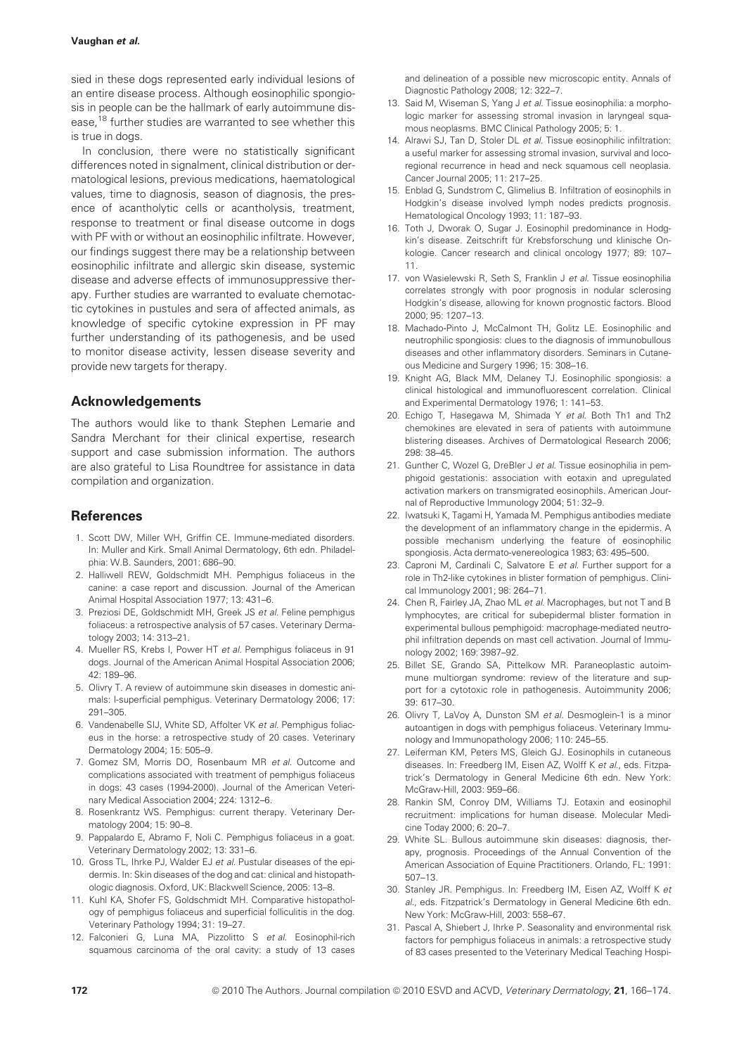#### Vaughan et al.

sied in these dogs represented early individual lesions of an entire disease process. Although eosinophilic spongiosis in people can be the hallmark of early autoimmune disease,<sup>18</sup> further studies are warranted to see whether this is true in dogs.

In conclusion, there were no statistically significant differences noted in signalment, clinical distribution or dermatological lesions, previous medications, haematological values, time to diagnosis, season of diagnosis, the presence of acantholytic cells or acantholysis, treatment, response to treatment or final disease outcome in dogs with PF with or without an eosinophilic infiltrate. However, our findings suggest there may be a relationship between eosinophilic infiltrate and allergic skin disease, systemic disease and adverse effects of immunosuppressive therapy. Further studies are warranted to evaluate chemotactic cytokines in pustules and sera of affected animals, as knowledge of specific cytokine expression in PF may further understanding of its pathogenesis, and be used to monitor disease activity, lessen disease severity and provide new targets for therapy.

# Acknowledgements

The authors would like to thank Stephen Lemarie and Sandra Merchant for their clinical expertise, research support and case submission information. The authors are also grateful to Lisa Roundtree for assistance in data compilation and organization.

# References

- 1. Scott DW, Miller WH, Griffin CE. Immune-mediated disorders. In: Muller and Kirk. Small Animal Dermatology, 6th edn. Philadelphia: W.B. Saunders, 2001: 686–90.
- 2. Halliwell REW, Goldschmidt MH. Pemphigus foliaceus in the canine: a case report and discussion. Journal of the American Animal Hospital Association 1977; 13: 431–6.
- 3. Preziosi DE, Goldschmidt MH, Greek JS et al. Feline pemphigus foliaceus: a retrospective analysis of 57 cases. Veterinary Dermatology 2003; 14: 313–21.
- 4. Mueller RS, Krebs I, Power HT et al. Pemphigus foliaceus in 91 dogs. Journal of the American Animal Hospital Association 2006; 42: 189–96.
- 5. Olivry T. A review of autoimmune skin diseases in domestic animals: I-superficial pemphigus. Veterinary Dermatology 2006; 17: 291–305.
- 6. Vandenabelle SIJ, White SD, Affolter VK et al. Pemphigus foliaceus in the horse: a retrospective study of 20 cases. Veterinary Dermatology 2004; 15: 505–9.
- 7. Gomez SM, Morris DO, Rosenbaum MR et al. Outcome and complications associated with treatment of pemphigus foliaceus in dogs: 43 cases (1994-2000). Journal of the American Veterinary Medical Association 2004; 224: 1312–6.
- 8. Rosenkrantz WS. Pemphigus: current therapy. Veterinary Dermatology 2004; 15: 90–8.
- Pappalardo E, Abramo F, Noli C. Pemphigus foliaceus in a goat. Veterinary Dermatology 2002; 13: 331–6.
- 10. Gross TL, Ihrke PJ, Walder EJ et al. Pustular diseases of the epidermis. In: Skin diseases of the dog and cat: clinical and histopathologic diagnosis. Oxford, UK: Blackwell Science, 2005: 13–8.
- 11. Kuhl KA, Shofer FS, Goldschmidt MH. Comparative histopathology of pemphigus foliaceus and superficial folliculitis in the dog. Veterinary Pathology 1994; 31: 19–27.
- 12. Falconieri G, Luna MA, Pizzolitto S et al. Eosinophil-rich squamous carcinoma of the oral cavity: a study of 13 cases

and delineation of a possible new microscopic entity. Annals of Diagnostic Pathology 2008; 12: 322–7.

- 13. Said M, Wiseman S, Yang J et al. Tissue eosinophilia: a morphologic marker for assessing stromal invasion in laryngeal squamous neoplasms. BMC Clinical Pathology 2005; 5: 1.
- 14. Alrawi SJ, Tan D, Stoler DL et al. Tissue eosinophilic infiltration: a useful marker for assessing stromal invasion, survival and locoregional recurrence in head and neck squamous cell neoplasia. Cancer Journal 2005; 11: 217–25.
- 15. Enblad G, Sundstrom C, Glimelius B. Infiltration of eosinophils in Hodgkin's disease involved lymph nodes predicts prognosis. Hematological Oncology 1993; 11: 187–93.
- 16. Toth J, Dworak O, Sugar J. Eosinophil predominance in Hodgkin's disease. Zeitschrift für Krebsforschung und klinische Onkologie. Cancer research and clinical oncology 1977; 89: 107– 11.
- 17. von Wasielewski R, Seth S, Franklin J et al. Tissue eosinophilia correlates strongly with poor prognosis in nodular sclerosing Hodgkin's disease, allowing for known prognostic factors. Blood 2000; 95: 1207–13.
- 18. Machado-Pinto J, McCalmont TH, Golitz LE. Eosinophilic and neutrophilic spongiosis: clues to the diagnosis of immunobullous diseases and other inflammatory disorders. Seminars in Cutaneous Medicine and Surgery 1996; 15: 308–16.
- 19. Knight AG, Black MM, Delaney TJ. Eosinophilic spongiosis: a clinical histological and immunofluorescent correlation. Clinical and Experimental Dermatology 1976; 1: 141–53.
- 20. Echigo T, Hasegawa M, Shimada Y et al. Both Th1 and Th2 chemokines are elevated in sera of patients with autoimmune blistering diseases. Archives of Dermatological Research 2006; 298: 38–45.
- 21. Gunther C, Wozel G, DreBler J et al. Tissue eosinophilia in pemphigoid gestationis: association with eotaxin and upregulated activation markers on transmigrated eosinophils. American Journal of Reproductive Immunology 2004; 51: 32–9.
- 22. Iwatsuki K, Tagami H, Yamada M. Pemphigus antibodies mediate the development of an inflammatory change in the epidermis. A possible mechanism underlying the feature of eosinophilic spongiosis. Acta dermato-venereologica 1983; 63: 495–500.
- 23. Caproni M, Cardinali C, Salvatore E et al. Further support for a role in Th2-like cytokines in blister formation of pemphigus. Clinical Immunology 2001; 98: 264–71.
- 24. Chen R, Fairley JA, Zhao ML et al. Macrophages, but not T and B lymphocytes, are critical for subepidermal blister formation in experimental bullous pemphigoid: macrophage-mediated neutrophil infiltration depends on mast cell activation. Journal of Immunology 2002; 169: 3987–92.
- 25. Billet SE, Grando SA, Pittelkow MR. Paraneoplastic autoimmune multiorgan syndrome: review of the literature and support for a cytotoxic role in pathogenesis. Autoimmunity 2006; 39: 617–30.
- 26. Olivry T, LaVoy A, Dunston SM et al. Desmoglein-1 is a minor autoantigen in dogs with pemphigus foliaceus. Veterinary Immunology and Immunopathology 2006; 110: 245–55.
- 27. Leiferman KM, Peters MS, Gleich GJ. Eosinophils in cutaneous diseases. In: Freedberg IM, Eisen AZ, Wolff K et al., eds. Fitzpatrick's Dermatology in General Medicine 6th edn. New York: McGraw-Hill, 2003: 959–66.
- 28. Rankin SM, Conroy DM, Williams TJ. Eotaxin and eosinophil recruitment: implications for human disease. Molecular Medicine Today 2000; 6: 20–7.
- 29. White SL. Bullous autoimmune skin diseases: diagnosis, therapy, prognosis. Proceedings of the Annual Convention of the American Association of Equine Practitioners. Orlando, FL: 1991: 507–13.
- 30. Stanley JR. Pemphigus. In: Freedberg IM, Eisen AZ, Wolff K et al., eds. Fitzpatrick's Dermatology in General Medicine 6th edn. New York: McGraw-Hill, 2003: 558–67.
- 31. Pascal A, Shiebert J, Ihrke P. Seasonality and environmental risk factors for pemphigus foliaceus in animals: a retrospective study of 83 cases presented to the Veterinary Medical Teaching Hospi-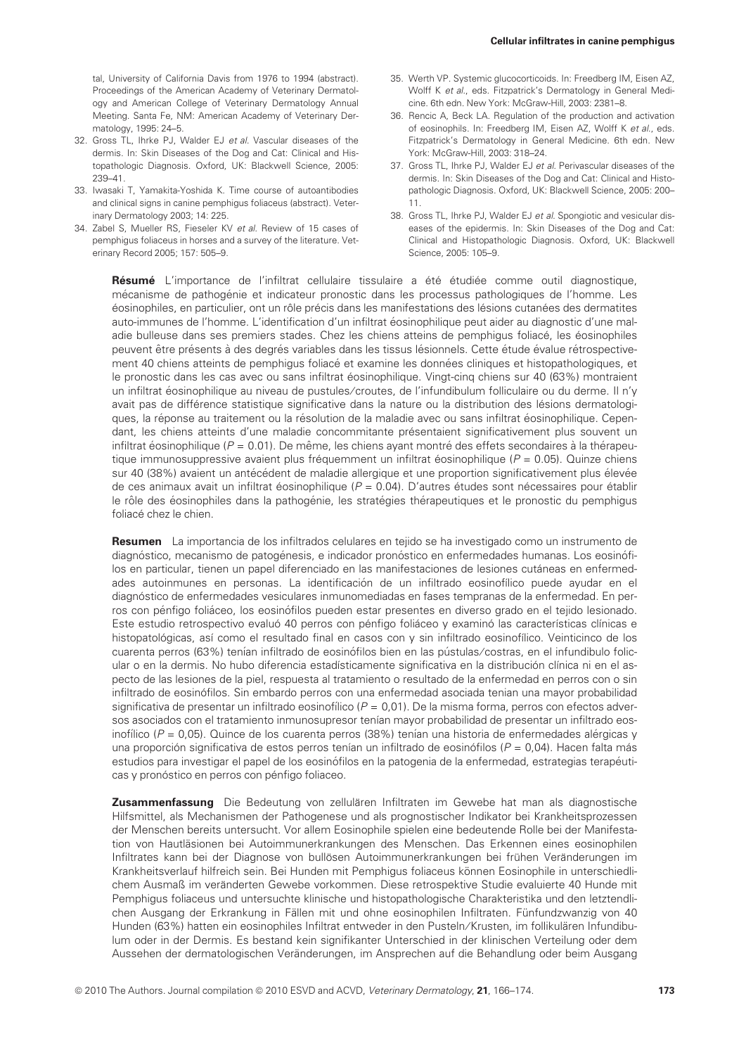tal, University of California Davis from 1976 to 1994 (abstract). Proceedings of the American Academy of Veterinary Dermatology and American College of Veterinary Dermatology Annual Meeting. Santa Fe, NM: American Academy of Veterinary Dermatology, 1995: 24–5.

- 32. Gross TL, Ihrke PJ, Walder EJ et al. Vascular diseases of the dermis. In: Skin Diseases of the Dog and Cat: Clinical and Histopathologic Diagnosis. Oxford, UK: Blackwell Science, 2005: 239–41.
- 33. Iwasaki T, Yamakita-Yoshida K. Time course of autoantibodies and clinical signs in canine pemphigus foliaceus (abstract). Veterinary Dermatology 2003; 14: 225.
- 34. Zabel S, Mueller RS, Fieseler KV et al. Review of 15 cases of pemphigus foliaceus in horses and a survey of the literature. Veterinary Record 2005; 157: 505–9.
- 35. Werth VP. Systemic glucocorticoids. In: Freedberg IM, Eisen AZ, Wolff K et al., eds. Fitzpatrick's Dermatology in General Medicine. 6th edn. New York: McGraw-Hill, 2003: 2381–8.
- 36. Rencic A, Beck LA. Regulation of the production and activation of eosinophils. In: Freedberg IM, Eisen AZ, Wolff K et al., eds. Fitzpatrick's Dermatology in General Medicine. 6th edn. New York: McGraw-Hill, 2003: 318–24.
- 37. Gross TL, Ihrke PJ, Walder EJ et al. Perivascular diseases of the dermis. In: Skin Diseases of the Dog and Cat: Clinical and Histopathologic Diagnosis. Oxford, UK: Blackwell Science, 2005: 200– 11.
- 38. Gross TL, Ihrke PJ, Walder EJ et al. Spongiotic and vesicular diseases of the epidermis. In: Skin Diseases of the Dog and Cat: Clinical and Histopathologic Diagnosis. Oxford, UK: Blackwell Science, 2005: 105–9.

Résumé L'importance de l'infiltrat cellulaire tissulaire a été étudiée comme outil diagnostique, mécanisme de pathogénie et indicateur pronostic dans les processus pathologiques de l'homme. Les éosinophiles, en particulier, ont un rôle précis dans les manifestations des lésions cutanées des dermatites auto-immunes de l'homme. L'identification d'un infiltrat éosinophilique peut aider au diagnostic d'une maladie bulleuse dans ses premiers stades. Chez les chiens atteins de pemphigus foliacé, les éosinophiles peuvent être présents à des degrés variables dans les tissus lésionnels. Cette étude évalue rétrospectivement 40 chiens atteints de pemphigus foliacé et examine les données cliniques et histopathologiques, et le pronostic dans les cas avec ou sans infiltrat éosinophilique. Vingt-cing chiens sur 40 (63%) montraient un infiltrat éosinophilique au niveau de pustules/croutes, de l'infundibulum folliculaire ou du derme. Il n'y avait pas de différence statistique significative dans la nature ou la distribution des lésions dermatologiques, la réponse au traitement ou la résolution de la maladie avec ou sans infiltrat éosinophilique. Cependant, les chiens atteints d'une maladie concommitante présentaient significativement plus souvent un infiltrat éosinophilique ( $P = 0.01$ ). De même, les chiens ayant montré des effets secondaires à la thérapeutique immunosuppressive avaient plus fréquemment un infiltrat éosinophilique ( $P = 0.05$ ). Quinze chiens sur 40 (38%) avaient un antécédent de maladie allergique et une proportion significativement plus élevée de ces animaux avait un infiltrat éosinophilique ( $P = 0.04$ ). D'autres études sont nécessaires pour établir le rôle des éosinophiles dans la pathogénie, les stratégies thérapeutiques et le pronostic du pemphigus foliacé chez le chien.

Resumen La importancia de los infiltrados celulares en tejido se ha investigado como un instrumento de diagnóstico, mecanismo de patogénesis, e indicador pronóstico en enfermedades humanas. Los eosinófilos en particular, tienen un papel diferenciado en las manifestaciones de lesiones cutáneas en enfermedades autoinmunes en personas. La identificación de un infiltrado eosinofílico puede ayudar en el diagnóstico de enfermedades vesiculares inmunomediadas en fases tempranas de la enfermedad. En perros con pénfigo foliáceo, los eosinófilos pueden estar presentes en diverso grado en el tejido lesionado. Este estudio retrospectivo evaluó 40 perros con pénfigo foliáceo y examinó las características clínicas e histopatológicas, así como el resultado final en casos con y sin infiltrado eosinofílico. Veinticinco de los cuarenta perros (63%) tenían infiltrado de eosinófilos bien en las pústulas/costras, en el infundibulo folicular o en la dermis. No hubo diferencia estadísticamente significativa en la distribución clínica ni en el aspecto de las lesiones de la piel, respuesta al tratamiento o resultado de la enfermedad en perros con o sin infiltrado de eosino´filos. Sin embardo perros con una enfermedad asociada tenian una mayor probabilidad significativa de presentar un infiltrado eosinofílico ( $P = 0.01$ ). De la misma forma, perros con efectos adversos asociados con el tratamiento inmunosupresor tenían mayor probabilidad de presentar un infiltrado eosinofílico ( $P = 0.05$ ). Quince de los cuarenta perros (38%) tenían una historia de enfermedades alérgicas y una proporción significativa de estos perros tenían un infiltrado de eosinófilos ( $P = 0.04$ ). Hacen falta más estudios para investigar el papel de los eosinófilos en la patogenia de la enfermedad, estrategias terapéuticas y pronóstico en perros con pénfigo foliaceo.

Zusammenfassung Die Bedeutung von zellulären Infiltraten im Gewebe hat man als diagnostische Hilfsmittel, als Mechanismen der Pathogenese und als prognostischer Indikator bei Krankheitsprozessen der Menschen bereits untersucht. Vor allem Eosinophile spielen eine bedeutende Rolle bei der Manifestation von Hautläsionen bei Autoimmunerkrankungen des Menschen. Das Erkennen eines eosinophilen Infiltrates kann bei der Diagnose von bullösen Autoimmunerkrankungen bei frühen Veränderungen im Krankheitsverlauf hilfreich sein. Bei Hunden mit Pemphigus foliaceus können Eosinophile in unterschiedlichem Ausmaß im veränderten Gewebe vorkommen. Diese retrospektive Studie evaluierte 40 Hunde mit Pemphigus foliaceus und untersuchte klinische und histopathologische Charakteristika und den letztendlichen Ausgang der Erkrankung in Fällen mit und ohne eosinophilen Infiltraten. Fünfundzwanzig von 40 Hunden (63%) hatten ein eosinophiles Infiltrat entweder in den Pusteln/Krusten, im follikulären Infundibulum oder in der Dermis. Es bestand kein signifikanter Unterschied in der klinischen Verteilung oder dem Aussehen der dermatologischen Veränderungen, im Ansprechen auf die Behandlung oder beim Ausgang